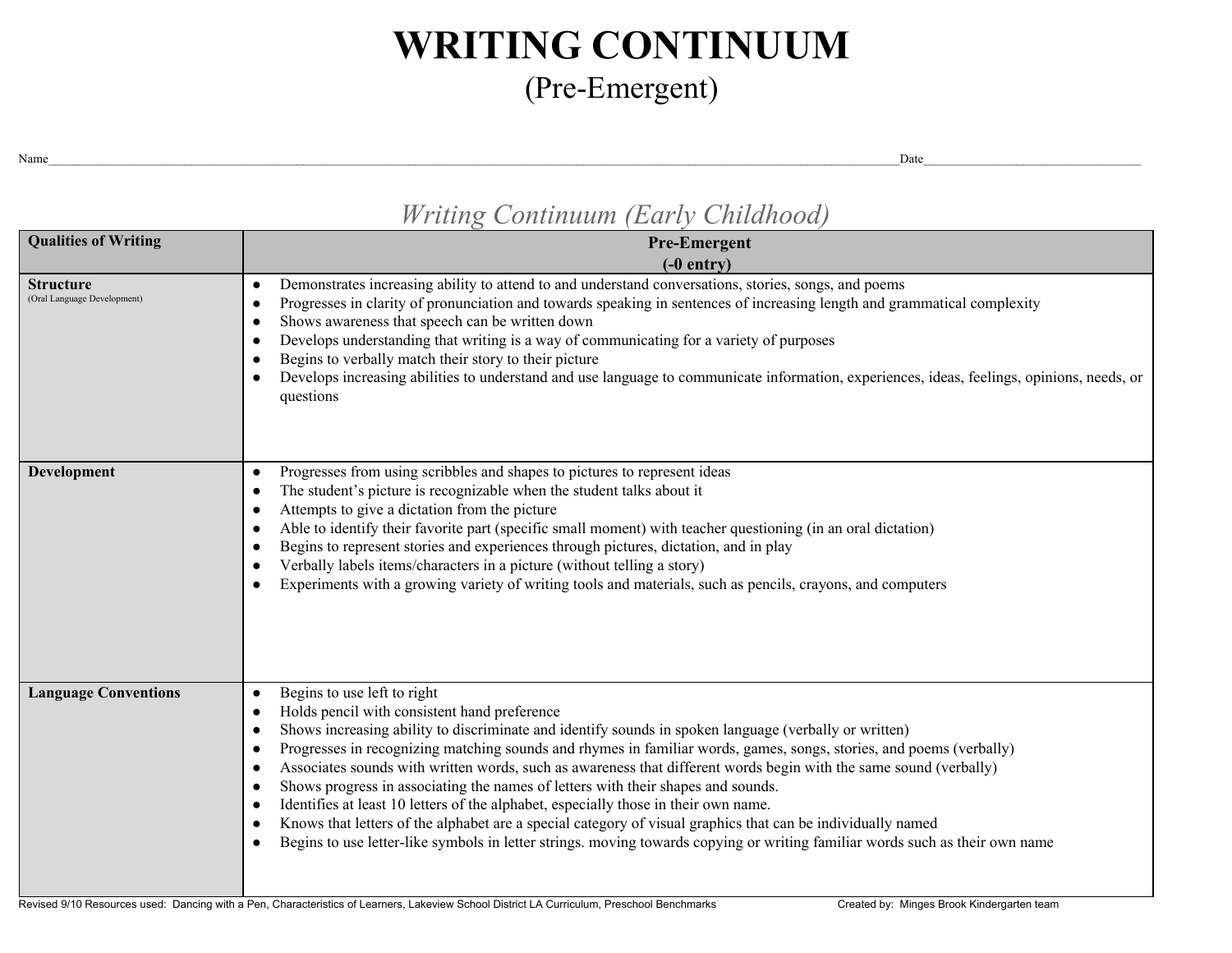# **WRITING CONTINUUM** (Pre-Emergent)

Name and the set of the set of the set of the set of the set of the set of the set of the set of the set of the set of the set of the set of the set of the set of the set of the set of the set of the set of the set of the

## *Writing Continuum (Early Childhood)*

| <b>Qualities of Writing</b>                     | <b>Pre-Emergent</b>                                                                                                                                                                                                                                                                                                                                                                                                                                                                                                                                                                                                                                                                                                                                                                                                                                                                                            |  |  |  |
|-------------------------------------------------|----------------------------------------------------------------------------------------------------------------------------------------------------------------------------------------------------------------------------------------------------------------------------------------------------------------------------------------------------------------------------------------------------------------------------------------------------------------------------------------------------------------------------------------------------------------------------------------------------------------------------------------------------------------------------------------------------------------------------------------------------------------------------------------------------------------------------------------------------------------------------------------------------------------|--|--|--|
|                                                 | $(-0$ entry)                                                                                                                                                                                                                                                                                                                                                                                                                                                                                                                                                                                                                                                                                                                                                                                                                                                                                                   |  |  |  |
| <b>Structure</b><br>(Oral Language Development) | Demonstrates increasing ability to attend to and understand conversations, stories, songs, and poems<br>$\bullet$<br>Progresses in clarity of pronunciation and towards speaking in sentences of increasing length and grammatical complexity<br>Shows awareness that speech can be written down<br>$\bullet$<br>Develops understanding that writing is a way of communicating for a variety of purposes<br>$\bullet$<br>Begins to verbally match their story to their picture<br>Develops increasing abilities to understand and use language to communicate information, experiences, ideas, feelings, opinions, needs, or<br>questions                                                                                                                                                                                                                                                                      |  |  |  |
| Development                                     | Progresses from using scribbles and shapes to pictures to represent ideas<br>$\bullet$<br>The student's picture is recognizable when the student talks about it<br>$\bullet$<br>Attempts to give a dictation from the picture<br>$\bullet$<br>Able to identify their favorite part (specific small moment) with teacher questioning (in an oral dictation)<br>Begins to represent stories and experiences through pictures, dictation, and in play<br>Verbally labels items/characters in a picture (without telling a story)<br>Experiments with a growing variety of writing tools and materials, such as pencils, crayons, and computers<br>$\bullet$                                                                                                                                                                                                                                                       |  |  |  |
| <b>Language Conventions</b>                     | Begins to use left to right<br>$\bullet$<br>Holds pencil with consistent hand preference<br>Shows increasing ability to discriminate and identify sounds in spoken language (verbally or written)<br>Progresses in recognizing matching sounds and rhymes in familiar words, games, songs, stories, and poems (verbally)<br>Associates sounds with written words, such as awareness that different words begin with the same sound (verbally)<br>$\bullet$<br>Shows progress in associating the names of letters with their shapes and sounds.<br>$\bullet$<br>Identifies at least 10 letters of the alphabet, especially those in their own name.<br>$\bullet$<br>Knows that letters of the alphabet are a special category of visual graphics that can be individually named<br>Begins to use letter-like symbols in letter strings. moving towards copying or writing familiar words such as their own name |  |  |  |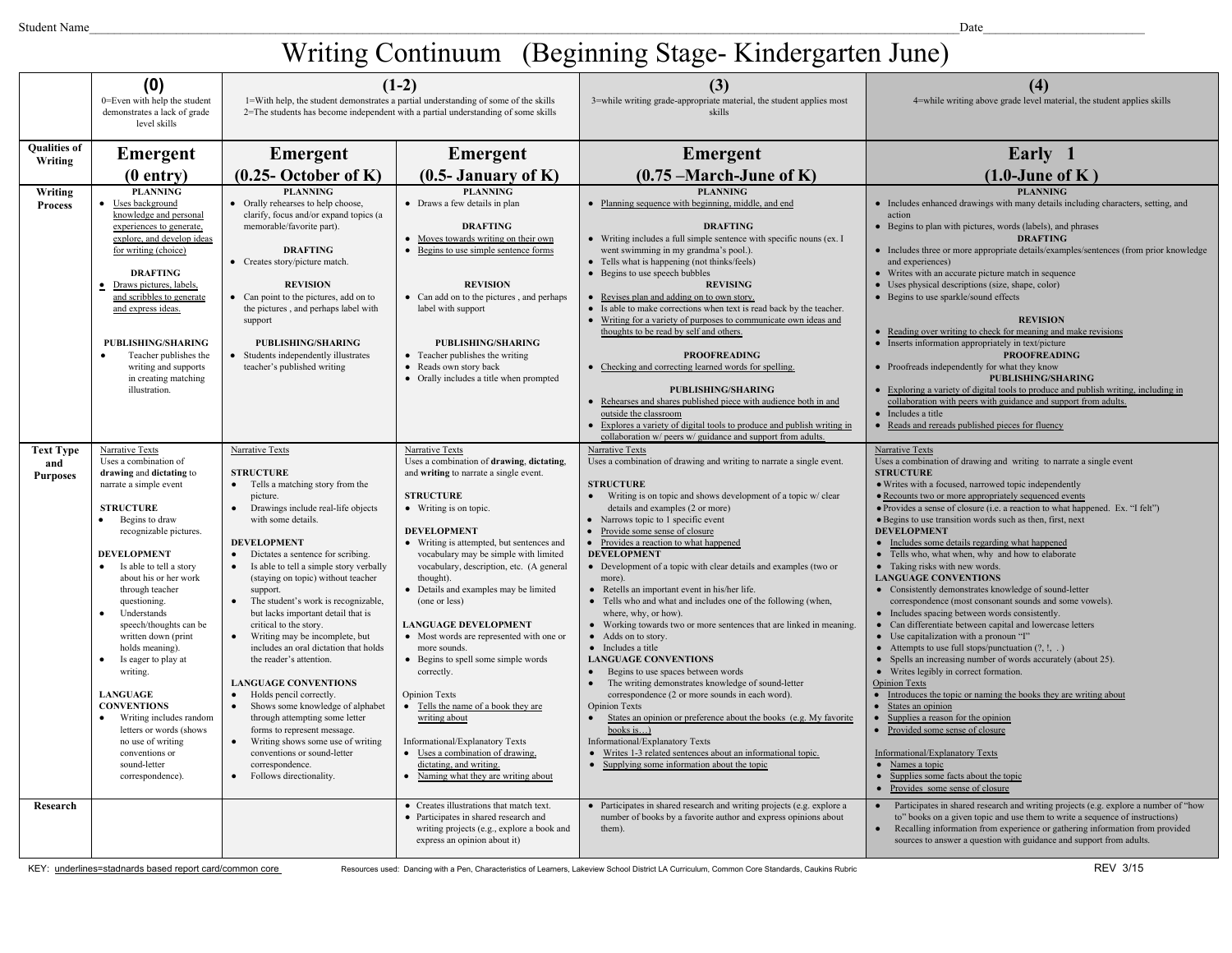# Writing Continuum (Beginning Stage-Kindergarten June)

|                                            | (0)<br>0=Even with help the student<br>demonstrates a lack of grade<br>level skills                                                                                                                                                                                                                                                                                                                                                                                                                                                                                                                                             | $(1-2)$<br>1=With help, the student demonstrates a partial understanding of some of the skills<br>$2$ =The students has become independent with a partial understanding of some skills                                                                                                                                                                                                                                                                                                                                                                                                                                                                                                                                                                                                                                                                                                          |                                                                                                                                                                                                                                                                                                                                                                                                                                                                                                                                                                                                                                                                                                                                                           | (3)<br>3=while writing grade-appropriate material, the student applies most<br>skills                                                                                                                                                                                                                                                                                                                                                                                                                                                                                                                                                                                                                                                                                                                                                                                                                                                                                                                                                                                                                                                                                                    | (4)<br>4=while writing above grade level material, the student applies skills                                                                                                                                                                                                                                                                                                                                                                                                                                                                                                                                                                                                                                                                                                                                                                                                                                                                                                                                                                                                                                                                                                                                                                                                                                                                                                         |
|--------------------------------------------|---------------------------------------------------------------------------------------------------------------------------------------------------------------------------------------------------------------------------------------------------------------------------------------------------------------------------------------------------------------------------------------------------------------------------------------------------------------------------------------------------------------------------------------------------------------------------------------------------------------------------------|-------------------------------------------------------------------------------------------------------------------------------------------------------------------------------------------------------------------------------------------------------------------------------------------------------------------------------------------------------------------------------------------------------------------------------------------------------------------------------------------------------------------------------------------------------------------------------------------------------------------------------------------------------------------------------------------------------------------------------------------------------------------------------------------------------------------------------------------------------------------------------------------------|-----------------------------------------------------------------------------------------------------------------------------------------------------------------------------------------------------------------------------------------------------------------------------------------------------------------------------------------------------------------------------------------------------------------------------------------------------------------------------------------------------------------------------------------------------------------------------------------------------------------------------------------------------------------------------------------------------------------------------------------------------------|------------------------------------------------------------------------------------------------------------------------------------------------------------------------------------------------------------------------------------------------------------------------------------------------------------------------------------------------------------------------------------------------------------------------------------------------------------------------------------------------------------------------------------------------------------------------------------------------------------------------------------------------------------------------------------------------------------------------------------------------------------------------------------------------------------------------------------------------------------------------------------------------------------------------------------------------------------------------------------------------------------------------------------------------------------------------------------------------------------------------------------------------------------------------------------------|---------------------------------------------------------------------------------------------------------------------------------------------------------------------------------------------------------------------------------------------------------------------------------------------------------------------------------------------------------------------------------------------------------------------------------------------------------------------------------------------------------------------------------------------------------------------------------------------------------------------------------------------------------------------------------------------------------------------------------------------------------------------------------------------------------------------------------------------------------------------------------------------------------------------------------------------------------------------------------------------------------------------------------------------------------------------------------------------------------------------------------------------------------------------------------------------------------------------------------------------------------------------------------------------------------------------------------------------------------------------------------------|
| <b>Qualities of</b><br>Writing             | <b>Emergent</b>                                                                                                                                                                                                                                                                                                                                                                                                                                                                                                                                                                                                                 | Emergent                                                                                                                                                                                                                                                                                                                                                                                                                                                                                                                                                                                                                                                                                                                                                                                                                                                                                        | Emergent                                                                                                                                                                                                                                                                                                                                                                                                                                                                                                                                                                                                                                                                                                                                                  | Emergent                                                                                                                                                                                                                                                                                                                                                                                                                                                                                                                                                                                                                                                                                                                                                                                                                                                                                                                                                                                                                                                                                                                                                                                 | Early 1                                                                                                                                                                                                                                                                                                                                                                                                                                                                                                                                                                                                                                                                                                                                                                                                                                                                                                                                                                                                                                                                                                                                                                                                                                                                                                                                                                               |
|                                            | $(0$ entry)                                                                                                                                                                                                                                                                                                                                                                                                                                                                                                                                                                                                                     | $(0.25 - October of K)$                                                                                                                                                                                                                                                                                                                                                                                                                                                                                                                                                                                                                                                                                                                                                                                                                                                                         | $(0.5$ - January of K)                                                                                                                                                                                                                                                                                                                                                                                                                                                                                                                                                                                                                                                                                                                                    | $(0.75 - March-June of K)$                                                                                                                                                                                                                                                                                                                                                                                                                                                                                                                                                                                                                                                                                                                                                                                                                                                                                                                                                                                                                                                                                                                                                               | $(1.0$ -June of K)                                                                                                                                                                                                                                                                                                                                                                                                                                                                                                                                                                                                                                                                                                                                                                                                                                                                                                                                                                                                                                                                                                                                                                                                                                                                                                                                                                    |
| Writing<br><b>Process</b>                  | <b>PLANNING</b><br>• Uses background<br>knowledge and personal<br>experiences to generate,<br>explore, and develop ideas<br>for writing (choice)<br><b>DRAFTING</b><br>· Draws pictures, labels,<br>and scribbles to generate<br>and express ideas.<br><b>PUBLISHING/SHARING</b><br>Teacher publishes the<br>writing and supports<br>in creating matching<br>illustration.                                                                                                                                                                                                                                                      | <b>PLANNING</b><br>• Orally rehearses to help choose,<br>clarify, focus and/or expand topics (a<br>memorable/favorite part).<br><b>DRAFTING</b><br>• Creates story/picture match.<br><b>REVISION</b><br>• Can point to the pictures, add on to<br>the pictures, and perhaps label with<br>support<br><b>PUBLISHING/SHARING</b><br>• Students independently illustrates<br>teacher's published writing                                                                                                                                                                                                                                                                                                                                                                                                                                                                                           | <b>PLANNING</b><br>• Draws a few details in plan<br><b>DRAFTING</b><br>• Moves towards writing on their own<br>• Begins to use simple sentence forms<br><b>REVISION</b><br>• Can add on to the pictures, and perhaps<br>label with support<br><b>PUBLISHING/SHARING</b><br>• Teacher publishes the writing<br>• Reads own story back<br>• Orally includes a title when prompted                                                                                                                                                                                                                                                                                                                                                                           | <b>PLANNING</b><br>• Planning sequence with beginning, middle, and end<br><b>DRAFTING</b><br>• Writing includes a full simple sentence with specific nouns (ex. I<br>went swimming in my grandma's pool.).<br>• Tells what is happening (not thinks/feels)<br>• Begins to use speech bubbles<br><b>REVISING</b><br>• Revises plan and adding on to own story.<br>Is able to make corrections when text is read back by the teacher.<br>• Writing for a variety of purposes to communicate own ideas and<br>thoughts to be read by self and others.<br><b>PROOFREADING</b><br>• Checking and correcting learned words for spelling.<br>PUBLISHING/SHARING<br>• Rehearses and shares published piece with audience both in and<br>outside the classroom<br>Explores a variety of digital tools to produce and publish writing in<br>collaboration w/ peers w/ guidance and support from adults.                                                                                                                                                                                                                                                                                            | <b>PLANNING</b><br>• Includes enhanced drawings with many details including characters, setting, and<br>action<br>• Begins to plan with pictures, words (labels), and phrases<br><b>DRAFTING</b><br>• Includes three or more appropriate details/examples/sentences (from prior knowledge<br>and experiences)<br>• Writes with an accurate picture match in sequence<br>• Uses physical descriptions (size, shape, color)<br>• Begins to use sparkle/sound effects<br><b>REVISION</b><br>Reading over writing to check for meaning and make revisions<br>• Inserts information appropriately in text/picture<br><b>PROOFREADING</b><br>• Proofreads independently for what they know<br><b>PUBLISHING/SHARING</b><br>Exploring a variety of digital tools to produce and publish writing, including in<br>collaboration with peers with guidance and support from adults.<br>$\bullet$ Includes a title<br>• Reads and rereads published pieces for fluency                                                                                                                                                                                                                                                                                                                                                                                                                           |
| <b>Text Type</b><br>and<br><b>Purposes</b> | Narrative Texts<br>Uses a combination of<br>drawing and dictating to<br>narrate a simple event<br><b>STRUCTURE</b><br>Begins to draw<br>$\bullet$<br>recognizable pictures.<br><b>DEVELOPMENT</b><br>Is able to tell a story<br>about his or her work<br>through teacher<br>questioning.<br>Understands<br>$\bullet$<br>speech/thoughts can be<br>written down (print<br>holds meaning).<br>Is eager to play at<br>$\bullet$<br>writing.<br><b>LANGUAGE</b><br><b>CONVENTIONS</b><br>Writing includes random<br>$\bullet$<br>letters or words (shows<br>no use of writing<br>conventions or<br>sound-letter<br>correspondence). | Narrative Texts<br><b>STRUCTURE</b><br>Tells a matching story from the<br>$\bullet$<br>picture.<br>$\bullet$<br>Drawings include real-life objects<br>with some details.<br><b>DEVELOPMENT</b><br>Dictates a sentence for scribing.<br>$\bullet$<br>Is able to tell a simple story verbally<br>(staying on topic) without teacher<br>support.<br>The student's work is recognizable,<br>but lacks important detail that is<br>critical to the story.<br>Writing may be incomplete, but<br>$\bullet$<br>includes an oral dictation that holds<br>the reader's attention.<br><b>LANGUAGE CONVENTIONS</b><br>Holds pencil correctly.<br>$\bullet$<br>Shows some knowledge of alphabet<br>$\bullet$<br>through attempting some letter<br>forms to represent message.<br>Writing shows some use of writing<br>$\bullet$<br>conventions or sound-letter<br>correspondence.<br>Follows directionality. | Narrative Texts<br>Uses a combination of drawing, dictating,<br>and writing to narrate a single event.<br><b>STRUCTURE</b><br>• Writing is on topic.<br><b>DEVELOPMENT</b><br>• Writing is attempted, but sentences and<br>vocabulary may be simple with limited<br>vocabulary, description, etc. (A general<br>thought).<br>• Details and examples may be limited<br>(one or less)<br><b>LANGUAGE DEVELOPMENT</b><br>• Most words are represented with one or<br>more sounds.<br>• Begins to spell some simple words<br>correctly.<br><b>Opinion Texts</b><br>Tells the name of a book they are<br>writing about<br>Informational/Explanatory Texts<br>• Uses a combination of drawing,<br>dictating, and writing.<br>Naming what they are writing about | Narrative Texts<br>Uses a combination of drawing and writing to narrate a single event.<br><b>STRUCTURE</b><br>Writing is on topic and shows development of a topic w/ clear<br>$\bullet$<br>details and examples (2 or more)<br>• Narrows topic to 1 specific event<br>Provide some sense of closure<br>Provides a reaction to what happened<br><b>DEVELOPMENT</b><br>• Development of a topic with clear details and examples (two or<br>more).<br>• Retells an important event in his/her life.<br>• Tells who and what and includes one of the following (when,<br>where, why, or how).<br>• Working towards two or more sentences that are linked in meaning.<br>• Adds on to story.<br>$\bullet$ Includes a title<br><b>LANGUAGE CONVENTIONS</b><br>Begins to use spaces between words<br>$\bullet$<br>The writing demonstrates knowledge of sound-letter<br>$\bullet$<br>correspondence (2 or more sounds in each word).<br><b>Opinion Texts</b><br>States an opinion or preference about the books (e.g. My favorite<br>books is)<br>Informational/Explanatory Texts<br>Writes 1-3 related sentences about an informational topic.<br>Supplying some information about the topic | Narrative Texts<br>Uses a combination of drawing and writing to narrate a single event<br><b>STRUCTURE</b><br>· Writes with a focused, narrowed topic independently<br>• Recounts two or more appropriately sequenced events<br>• Provides a sense of closure (i.e. a reaction to what happened. Ex. "I felt")<br>• Begins to use transition words such as then, first, next<br><b>DEVELOPMENT</b><br>• Includes some details regarding what happened<br>• Tells who, what when, why and how to elaborate<br>• Taking risks with new words.<br><b>LANGUAGE CONVENTIONS</b><br>• Consistently demonstrates knowledge of sound-letter<br>correspondence (most consonant sounds and some vowels).<br>• Includes spacing between words consistently.<br>• Can differentiate between capital and lowercase letters<br>• Use capitalization with a pronoun "I"<br>• Attempts to use full stops/punctuation $(?,!,)$<br>• Spells an increasing number of words accurately (about 25).<br>• Writes legibly in correct formation.<br><b>Opinion Texts</b><br>Introduces the topic or naming the books they are writing about<br>$\bullet$<br>States an opinion<br>Supplies a reason for the opinion<br>Provided some sense of closure<br>Informational/Explanatory Texts<br>• Names a topic<br>Supplies some facts about the topic<br>$\bullet$<br>Provides some sense of closure<br>$\bullet$ |
| Research                                   |                                                                                                                                                                                                                                                                                                                                                                                                                                                                                                                                                                                                                                 |                                                                                                                                                                                                                                                                                                                                                                                                                                                                                                                                                                                                                                                                                                                                                                                                                                                                                                 | • Creates illustrations that match text.<br>• Participates in shared research and<br>writing projects (e.g., explore a book and<br>express an opinion about it)                                                                                                                                                                                                                                                                                                                                                                                                                                                                                                                                                                                           | • Participates in shared research and writing projects (e.g. explore a<br>number of books by a favorite author and express opinions about<br>them).                                                                                                                                                                                                                                                                                                                                                                                                                                                                                                                                                                                                                                                                                                                                                                                                                                                                                                                                                                                                                                      | Participates in shared research and writing projects (e.g. explore a number of "how<br>to" books on a given topic and use them to write a sequence of instructions)<br>Recalling information from experience or gathering information from provided<br>sources to answer a question with guidance and support from adults.                                                                                                                                                                                                                                                                                                                                                                                                                                                                                                                                                                                                                                                                                                                                                                                                                                                                                                                                                                                                                                                            |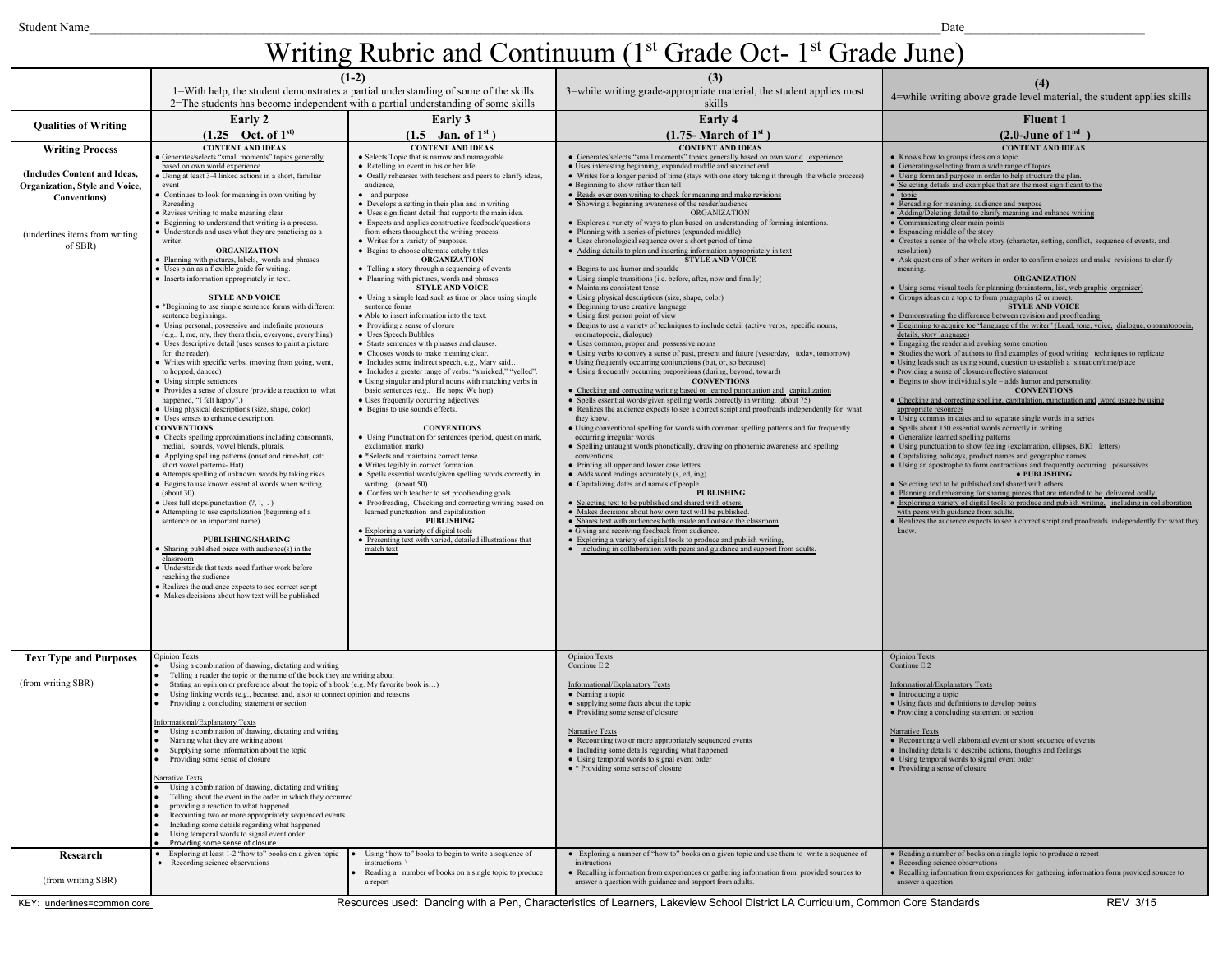#### Writing Rubric and Continuum  $(1<sup>st</sup> Grade Oct-1<sup>st</sup> Grade June)$

|                                 |                                                                                                                                                                    | $(1-2)$                                                                                                                                                                  | (3)                                                                                                                                                                             | (4)                                                                                                                                                                                         |
|---------------------------------|--------------------------------------------------------------------------------------------------------------------------------------------------------------------|--------------------------------------------------------------------------------------------------------------------------------------------------------------------------|---------------------------------------------------------------------------------------------------------------------------------------------------------------------------------|---------------------------------------------------------------------------------------------------------------------------------------------------------------------------------------------|
|                                 |                                                                                                                                                                    | 1=With help, the student demonstrates a partial understanding of some of the skills<br>2=The students has become independent with a partial understanding of some skills | 3=while writing grade-appropriate material, the student applies most<br>skills                                                                                                  | 4=while writing above grade level material, the student applies skills                                                                                                                      |
|                                 | Early 2                                                                                                                                                            | Early 3                                                                                                                                                                  | Early 4                                                                                                                                                                         | <b>Fluent 1</b>                                                                                                                                                                             |
| <b>Qualities of Writing</b>     | $(1.25 - Oct. of 1st)$                                                                                                                                             | $(1.5 - Jan. of 1st)$                                                                                                                                                    | $(1.75 - March of 1st)$                                                                                                                                                         | $(2.0$ -June of $1nd$                                                                                                                                                                       |
|                                 | <b>CONTENT AND IDEAS</b>                                                                                                                                           | <b>CONTENT AND IDEAS</b>                                                                                                                                                 | <b>CONTENT AND IDEAS</b>                                                                                                                                                        | <b>CONTENT AND IDEAS</b>                                                                                                                                                                    |
| <b>Writing Process</b>          | Generates/selects "small moments" topics generally                                                                                                                 | • Selects Topic that is narrow and manageable                                                                                                                            | • Generates/selects "small moments" topics generally based on own world experience                                                                                              | • Knows how to groups ideas on a topic.                                                                                                                                                     |
| (Includes Content and Ideas,    | based on own world experience                                                                                                                                      | • Retelling an event in his or her life                                                                                                                                  | · Uses interesting beginning, expanded middle and succinct end.                                                                                                                 | • Generating/selecting from a wide range of topics                                                                                                                                          |
| Organization, Style and Voice,  | Using at least 3-4 linked actions in a short, familiar<br>event                                                                                                    | • Orally rehearses with teachers and peers to clarify ideas,<br>audience,                                                                                                | • Writes for a longer period of time (stays with one story taking it through the whole process)<br>• Beginning to show rather than tell                                         | • Using form and purpose in order to help structure the plan.<br>• Selecting details and examples that are the most significant to the                                                      |
| Conventions)                    | Continues to look for meaning in own writing by                                                                                                                    | • and purpose                                                                                                                                                            | • Reads over own writing to check for meaning and make revisions                                                                                                                | $\bullet$ topic                                                                                                                                                                             |
|                                 | Rereading.<br>· Revises writing to make meaning clear                                                                                                              | • Develops a setting in their plan and in writing<br>• Uses significant detail that supports the main idea.                                                              | • Showing a beginning awareness of the reader/audience<br><b>ORGANIZATION</b>                                                                                                   | • Rereading for meaning, audience and purpose<br>• Adding/Deleting detail to clarify meaning and enhance writing                                                                            |
|                                 | • Beginning to understand that writing is a process.                                                                                                               | • Expects and applies constructive feedback/questions                                                                                                                    | • Explores a variety of ways to plan based on understanding of forming intentions.                                                                                              | • Communicating clear main points                                                                                                                                                           |
| (underlines items from writing) | · Understands and uses what they are practicing as a                                                                                                               | from others throughout the writing process.                                                                                                                              | • Planning with a series of pictures (expanded middle)                                                                                                                          | • Expanding middle of the story                                                                                                                                                             |
| of SBR)                         | writer<br><b>ORGANIZATION</b>                                                                                                                                      | • Writes for a variety of purposes.<br>• Begins to choose alternate catchy titles                                                                                        | • Uses chronological sequence over a short period of time<br>• Adding details to plan and inserting information appropriately in text                                           | • Creates a sense of the whole story (character, setting, conflict, sequence of events, and<br>resolution)                                                                                  |
|                                 | Planning with pictures, labels, words and phrases                                                                                                                  | <b>ORGANIZATION</b>                                                                                                                                                      | <b>STYLE AND VOICE</b>                                                                                                                                                          | • Ask questions of other writers in order to confirm choices and make revisions to clarify                                                                                                  |
|                                 | · Uses plan as a flexible guide for writing.<br>• Inserts information appropriately in text.                                                                       | • Telling a story through a sequencing of events<br>· Planning with pictures, words and phrases                                                                          | • Begins to use humor and sparkle<br>• Using simple transitions (i.e. before, after, now and finally)                                                                           | meaning.<br><b>ORGANIZATION</b>                                                                                                                                                             |
|                                 |                                                                                                                                                                    | <b>STYLE AND VOICE</b>                                                                                                                                                   | • Maintains consistent tense                                                                                                                                                    | · Using some visual tools for planning (brainstorm, list, web graphic organizer)                                                                                                            |
|                                 | <b>STYLE AND VOICE</b>                                                                                                                                             | • Using a simple lead such as time or place using simple                                                                                                                 | · Using physical descriptions (size, shape, color)                                                                                                                              | • Groups ideas on a topic to form paragraphs (2 or more).                                                                                                                                   |
|                                 | · *Beginning to use simple sentence forms with different<br>sentence beginnings.                                                                                   | sentence forms<br>• Able to insert information into the text.                                                                                                            | • Beginning to use creative language<br>• Using first person point of view                                                                                                      | <b>STYLE AND VOICE</b><br>· Demonstrating the difference between revision and proofreading.                                                                                                 |
|                                 | · Using personal, possessive and indefinite pronouns                                                                                                               | • Providing a sense of closure                                                                                                                                           | • Begins to use a variety of techniques to include detail (active verbs, specific nouns,                                                                                        | • Beginning to acquire toe "language of the writer" (Lead, tone, voice, dialogue, onomatopoeia,                                                                                             |
|                                 | (e.g., I, me, my, they them their, everyone, everything)                                                                                                           | • Uses Speech Bubbles<br>• Starts sentences with phrases and clauses.                                                                                                    | onomatopoeia, dialogue)                                                                                                                                                         | details, story language)                                                                                                                                                                    |
|                                 | • Uses descriptive detail (uses senses to paint a picture<br>for the reader).                                                                                      | • Chooses words to make meaning clear.                                                                                                                                   | • Uses common, proper and possessive nouns<br>• Using verbs to convey a sense of past, present and future (yesterday, today, tomorrow)                                          | • Engaging the reader and evoking some emotion<br>• Studies the work of authors to find examples of good writing techniques to replicate.                                                   |
|                                 | · Writes with specific verbs. (moving from going, went,                                                                                                            | · Includes some indirect speech, e.g., Mary said                                                                                                                         | • Using frequently occurring conjunctions (but, or, so because)                                                                                                                 | · Using leads such as using sound, question to establish a situation/time/place                                                                                                             |
|                                 | to hopped, danced)<br>• Using simple sentences                                                                                                                     | · Includes a greater range of verbs: "shrieked," "yelled".<br>· Using singular and plural nouns with matching verbs in                                                   | • Using frequently occurring prepositions (during, beyond, toward)<br><b>CONVENTIONS</b>                                                                                        | · Providing a sense of closure/reflective statement<br>• Begins to show individual style - adds humor and personality.                                                                      |
|                                 | • Provides a sense of closure (provide a reaction to what                                                                                                          | basic sentences (e.g., He hops: We hop)                                                                                                                                  | • Checking and correcting writing based on learned punctuation and capitalization                                                                                               | <b>CONVENTIONS</b>                                                                                                                                                                          |
|                                 | happened, "I felt happy".)<br>· Using physical descriptions (size, shape, color)                                                                                   | • Uses frequently occurring adjectives<br>• Begins to use sounds effects.                                                                                                | • Spells essential words/given spelling words correctly in writing. (about 75)<br>• Realizes the audience expects to see a correct script and proofreads independently for what | • Checking and correcting spelling, capitulation, punctuation and word usage by using<br>appropriate resources                                                                              |
|                                 | · Uses senses to enhance description.                                                                                                                              |                                                                                                                                                                          | they know.                                                                                                                                                                      | • Using commas in dates and to separate single words in a series                                                                                                                            |
|                                 | <b>CONVENTIONS</b>                                                                                                                                                 | <b>CONVENTIONS</b>                                                                                                                                                       | · Using conventional spelling for words with common spelling patterns and for frequently                                                                                        | • Spells about 150 essential words correctly in writing.<br>• Generalize learned spelling patterns                                                                                          |
|                                 | • Checks spelling approximations including consonants,<br>medial, sounds, vowel blends, plurals.                                                                   | • Using Punctuation for sentences (period, question mark,<br>exclamation mark)                                                                                           | occurring irregular words<br>• Spelling untaught words phonetically, drawing on phonemic awareness and spelling                                                                 | • Using punctuation to show feeling (exclamation, ellipses, BIG letters)                                                                                                                    |
|                                 | • Applying spelling patterns (onset and rime-bat, cat:                                                                                                             | • *Selects and maintains correct tense.                                                                                                                                  | conventions.                                                                                                                                                                    | • Capitalizing holidays, product names and geographic names                                                                                                                                 |
|                                 | short vowel patterns- Hat)<br>Attempts spelling of unknown words by taking risks.                                                                                  | · Writes legibly in correct formation.<br>• Spells essential words/given spelling words correctly in                                                                     | • Printing all upper and lower case letters<br>• Adds word endings accurately (s, ed, ing).                                                                                     | • Using an apostrophe to form contractions and frequently occurring possessives<br>• PUBLISHING                                                                                             |
|                                 | · Begins to use known essential words when writing.                                                                                                                | writing. (about 50)                                                                                                                                                      | • Capitalizing dates and names of people                                                                                                                                        | • Selecting text to be published and shared with others                                                                                                                                     |
|                                 | (about 30)<br>· Uses full stops/punctuation (?, !, .)                                                                                                              | • Confers with teacher to set proofreading goals<br>· Proofreading, Checking and correcting writing based on                                                             | <b>PUBLISHING</b><br>• Selecting text to be published and shared with others.                                                                                                   | · Planning and rehearsing for sharing pieces that are intended to be delivered orally.<br>• Exploring a variety of digital tools to produce and publish writing, including in collaboration |
|                                 | • Attempting to use capitalization (beginning of a                                                                                                                 | learned punctuation and capitalization                                                                                                                                   | • Makes decisions about how own text will be published                                                                                                                          | with peers with guidance from adults.                                                                                                                                                       |
|                                 | sentence or an important name).                                                                                                                                    | <b>PUBLISHING</b>                                                                                                                                                        | • Shares text with audiences both inside and outside the classroom                                                                                                              | • Realizes the audience expects to see a correct script and proofreads independently for what they                                                                                          |
|                                 | PUBLISHING/SHARING                                                                                                                                                 | · Exploring a variety of digital tools<br>· Presenting text with varied, detailed illustrations that                                                                     | · Giving and receiving feedback from audience.<br>• Exploring a variety of digital tools to produce and publish writing,                                                        | know                                                                                                                                                                                        |
|                                 | Sharing published piece with audience(s) in the                                                                                                                    | match text                                                                                                                                                               | • including in collaboration with peers and guidance and support from adults.                                                                                                   |                                                                                                                                                                                             |
|                                 | classroom<br>· Understands that texts need further work before                                                                                                     |                                                                                                                                                                          |                                                                                                                                                                                 |                                                                                                                                                                                             |
|                                 | reaching the audience                                                                                                                                              |                                                                                                                                                                          |                                                                                                                                                                                 |                                                                                                                                                                                             |
|                                 | Realizes the audience expects to see correct script                                                                                                                |                                                                                                                                                                          |                                                                                                                                                                                 |                                                                                                                                                                                             |
|                                 | · Makes decisions about how text will be published                                                                                                                 |                                                                                                                                                                          |                                                                                                                                                                                 |                                                                                                                                                                                             |
|                                 |                                                                                                                                                                    |                                                                                                                                                                          |                                                                                                                                                                                 |                                                                                                                                                                                             |
|                                 |                                                                                                                                                                    |                                                                                                                                                                          |                                                                                                                                                                                 |                                                                                                                                                                                             |
|                                 |                                                                                                                                                                    |                                                                                                                                                                          |                                                                                                                                                                                 |                                                                                                                                                                                             |
| <b>Text Type and Purposes</b>   | <b>Opinion Texts</b>                                                                                                                                               |                                                                                                                                                                          | <b>Opinion Texts</b>                                                                                                                                                            | <b>Opinion Texts</b>                                                                                                                                                                        |
|                                 | Using a combination of drawing, dictating and writing                                                                                                              |                                                                                                                                                                          | Continue E 2                                                                                                                                                                    | Continue E 2                                                                                                                                                                                |
| (from writing SBR)              | Telling a reader the topic or the name of the book they are writing about<br>Stating an opinion or preference about the topic of a book (e.g. My favorite book is) |                                                                                                                                                                          | Informational/Explanatory Texts                                                                                                                                                 | Informational/Explanatory Texts                                                                                                                                                             |
|                                 | Using linking words (e.g., because, and, also) to connect opinion and reasons                                                                                      |                                                                                                                                                                          | • Naming a topic                                                                                                                                                                | • Introducing a topic                                                                                                                                                                       |
|                                 | • Providing a concluding statement or section                                                                                                                      |                                                                                                                                                                          | • supplying some facts about the topic<br>• Providing some sense of closure                                                                                                     | • Using facts and definitions to develop points<br>· Providing a concluding statement or section                                                                                            |
|                                 | Informational/Explanatory Texts                                                                                                                                    |                                                                                                                                                                          |                                                                                                                                                                                 |                                                                                                                                                                                             |
|                                 | • Using a combination of drawing, dictating and writing<br>• Naming what they are writing about                                                                    |                                                                                                                                                                          | Narrative Texts                                                                                                                                                                 | Narrative Texts                                                                                                                                                                             |
|                                 | • Supplying some information about the topic                                                                                                                       |                                                                                                                                                                          | • Recounting two or more appropriately sequenced events<br>• Including some details regarding what happened                                                                     | • Recounting a well elaborated event or short sequence of events<br>• Including details to describe actions, thoughts and feelings                                                          |
|                                 | Providing some sense of closure<br>$\bullet$                                                                                                                       |                                                                                                                                                                          | • Using temporal words to signal event order                                                                                                                                    | • Using temporal words to signal event order                                                                                                                                                |
|                                 | Narrative Texts                                                                                                                                                    |                                                                                                                                                                          | • * Providing some sense of closure                                                                                                                                             | • Providing a sense of closure                                                                                                                                                              |
|                                 | · Using a combination of drawing, dictating and writing                                                                                                            |                                                                                                                                                                          |                                                                                                                                                                                 |                                                                                                                                                                                             |
|                                 | • Telling about the event in the order in which they occurred                                                                                                      |                                                                                                                                                                          |                                                                                                                                                                                 |                                                                                                                                                                                             |
|                                 | providing a reaction to what happened.<br>Recounting two or more appropriately sequenced events                                                                    |                                                                                                                                                                          |                                                                                                                                                                                 |                                                                                                                                                                                             |
|                                 | Including some details regarding what happened                                                                                                                     |                                                                                                                                                                          |                                                                                                                                                                                 |                                                                                                                                                                                             |
|                                 | • Using temporal words to signal event order<br>• Providing some sense of closure                                                                                  |                                                                                                                                                                          |                                                                                                                                                                                 |                                                                                                                                                                                             |
| Research                        | • Exploring at least 1-2 "how to" books on a given topic                                                                                                           | Using "how to" books to begin to write a sequence of                                                                                                                     | • Exploring a number of "how to" books on a given topic and use them to write a sequence of                                                                                     | • Reading a number of books on a single topic to produce a report                                                                                                                           |
|                                 | • Recording science observations                                                                                                                                   | instructions.<br>Reading a number of books on a single topic to produce                                                                                                  | instructions<br>• Recalling information from experiences or gathering information from provided sources to                                                                      | • Recording science observations                                                                                                                                                            |
| (from writing SBR)              |                                                                                                                                                                    | a report                                                                                                                                                                 | answer a question with guidance and support from adults.                                                                                                                        | • Recalling information from experiences for gathering information form provided sources to<br>answer a question                                                                            |
|                                 |                                                                                                                                                                    |                                                                                                                                                                          |                                                                                                                                                                                 |                                                                                                                                                                                             |
| KEY: underlines=common core     |                                                                                                                                                                    |                                                                                                                                                                          | Resources used: Dancing with a Pen, Characteristics of Learners, Lakeview School District LA Curriculum, Common Core Standards                                                  | <b>REV 3/15</b>                                                                                                                                                                             |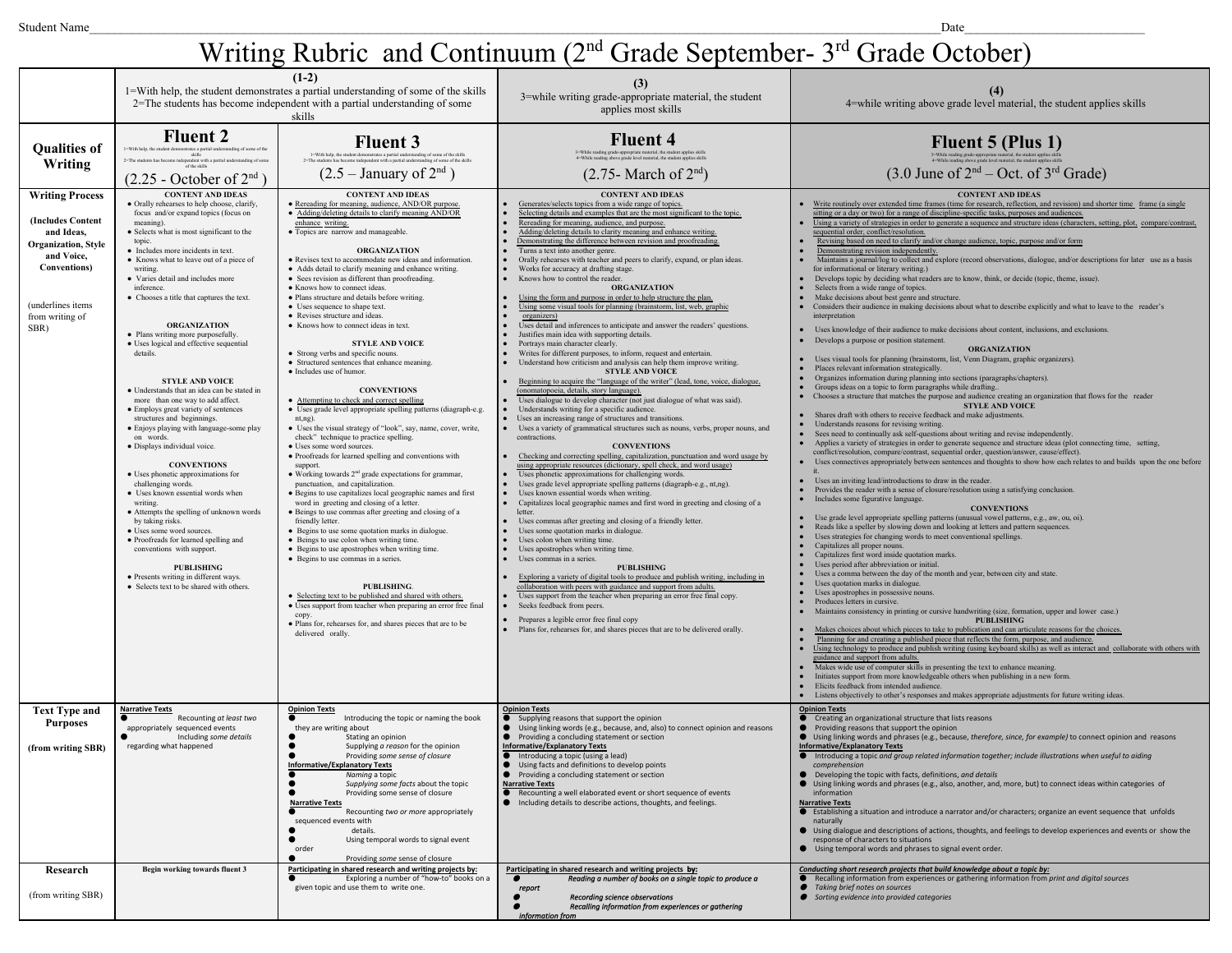### Writing Rubric and Continuum  $(2<sup>nd</sup>$  Grade September-  $3<sup>rd</sup>$  Grade October)

|                                                                                                                                                                                                          | О<br>$(1-2)$<br>1=With help, the student demonstrates a partial understanding of some of the skills<br>2=The students has become independent with a partial understanding of some<br>skills                                                                                                                                                                                                                                                                                                                                                                                                                                                                                                                                                                                                                                                                                                                                                                                                                                                                                                                                                                                                                                                                                                                                                                                                                                              |                                                                                                                                                                                                                                                                                                                                                                                                                                                                                                                                                                                                                                                                                                                                                                                                                                                                                                                                                                                                                                                                                                                                                                                                                                                                                                                                                                                                                                                                                                                                                                                                                                                                                                                                                                                                                                                                                                                                                                                              | (3)<br>3=while writing grade-appropriate material, the student<br>applies most skills                                                                                                                                                                                                                                                                                                                                                                                                                                                                                                                                                                                                                                                                                                                                                                                                                                                                                                                                                                                                                                                                                                                                                                                                                                                                                                                                                                                                                                                                                                                                                                                                                                                                                                                                                                                                                                                                                                                                                                                                                                                                                                                                                                                                                                                                                                                                                                                                                                                                                                                                                                                                                                                                                                                      | (4)<br>4 = while writing above grade level material, the student applies skills                                                                                                                                                                                                                                                                                                                                                                                                                                                                                                                                                                                                                                                                                                                                                                                                                                                                                                                                                                                                                                                                                                                                                                                                                                                                                                                                                                                                                                                                                                                                                                                                                                                                                                                                                                                                                                                                                                                                                                                                                                                                                                                                                                                                                                                                                                                                                                                                                                                                                                                                                                                                                                                                                                                                                                                                                                                                                                                                                                                                                                                                                                                                                                                                                                                                                                                                                                                                                                                                                                                                                                                                                                                                                                                                                               |
|----------------------------------------------------------------------------------------------------------------------------------------------------------------------------------------------------------|------------------------------------------------------------------------------------------------------------------------------------------------------------------------------------------------------------------------------------------------------------------------------------------------------------------------------------------------------------------------------------------------------------------------------------------------------------------------------------------------------------------------------------------------------------------------------------------------------------------------------------------------------------------------------------------------------------------------------------------------------------------------------------------------------------------------------------------------------------------------------------------------------------------------------------------------------------------------------------------------------------------------------------------------------------------------------------------------------------------------------------------------------------------------------------------------------------------------------------------------------------------------------------------------------------------------------------------------------------------------------------------------------------------------------------------|----------------------------------------------------------------------------------------------------------------------------------------------------------------------------------------------------------------------------------------------------------------------------------------------------------------------------------------------------------------------------------------------------------------------------------------------------------------------------------------------------------------------------------------------------------------------------------------------------------------------------------------------------------------------------------------------------------------------------------------------------------------------------------------------------------------------------------------------------------------------------------------------------------------------------------------------------------------------------------------------------------------------------------------------------------------------------------------------------------------------------------------------------------------------------------------------------------------------------------------------------------------------------------------------------------------------------------------------------------------------------------------------------------------------------------------------------------------------------------------------------------------------------------------------------------------------------------------------------------------------------------------------------------------------------------------------------------------------------------------------------------------------------------------------------------------------------------------------------------------------------------------------------------------------------------------------------------------------------------------------|------------------------------------------------------------------------------------------------------------------------------------------------------------------------------------------------------------------------------------------------------------------------------------------------------------------------------------------------------------------------------------------------------------------------------------------------------------------------------------------------------------------------------------------------------------------------------------------------------------------------------------------------------------------------------------------------------------------------------------------------------------------------------------------------------------------------------------------------------------------------------------------------------------------------------------------------------------------------------------------------------------------------------------------------------------------------------------------------------------------------------------------------------------------------------------------------------------------------------------------------------------------------------------------------------------------------------------------------------------------------------------------------------------------------------------------------------------------------------------------------------------------------------------------------------------------------------------------------------------------------------------------------------------------------------------------------------------------------------------------------------------------------------------------------------------------------------------------------------------------------------------------------------------------------------------------------------------------------------------------------------------------------------------------------------------------------------------------------------------------------------------------------------------------------------------------------------------------------------------------------------------------------------------------------------------------------------------------------------------------------------------------------------------------------------------------------------------------------------------------------------------------------------------------------------------------------------------------------------------------------------------------------------------------------------------------------------------------------------------------------------------------------------------------------------------|-----------------------------------------------------------------------------------------------------------------------------------------------------------------------------------------------------------------------------------------------------------------------------------------------------------------------------------------------------------------------------------------------------------------------------------------------------------------------------------------------------------------------------------------------------------------------------------------------------------------------------------------------------------------------------------------------------------------------------------------------------------------------------------------------------------------------------------------------------------------------------------------------------------------------------------------------------------------------------------------------------------------------------------------------------------------------------------------------------------------------------------------------------------------------------------------------------------------------------------------------------------------------------------------------------------------------------------------------------------------------------------------------------------------------------------------------------------------------------------------------------------------------------------------------------------------------------------------------------------------------------------------------------------------------------------------------------------------------------------------------------------------------------------------------------------------------------------------------------------------------------------------------------------------------------------------------------------------------------------------------------------------------------------------------------------------------------------------------------------------------------------------------------------------------------------------------------------------------------------------------------------------------------------------------------------------------------------------------------------------------------------------------------------------------------------------------------------------------------------------------------------------------------------------------------------------------------------------------------------------------------------------------------------------------------------------------------------------------------------------------------------------------------------------------------------------------------------------------------------------------------------------------------------------------------------------------------------------------------------------------------------------------------------------------------------------------------------------------------------------------------------------------------------------------------------------------------------------------------------------------------------------------------------------------------------------------------------------------------------------------------------------------------------------------------------------------------------------------------------------------------------------------------------------------------------------------------------------------------------------------------------------------------------------------------------------------------------------------------------------------------------------------------------------------------------------------------------------------|
| <b>Oualities of</b><br>Writing<br><b>Writing Process</b><br>(Includes Content<br>and Ideas,<br><b>Organization</b> , Style<br>and Voice,<br>Conventions)<br>(underlines items<br>from writing of<br>SBR) | <b>Fluent 2</b><br>1=With help, the student demonstrates a partial understanding of some of the<br>skills<br>$2$ =The students has become independent with a partial understanding of some of the skills<br>$(2.25 - October of 2nd)$<br><b>CONTENT AND IDEAS</b><br>· Orally rehearses to help choose, clarify,<br>focus and/or expand topics (focus on<br>meaning).<br>• Selects what is most significant to the<br>topic.<br>• Includes more incidents in text.<br>• Knows what to leave out of a piece of<br>writing.<br>• Varies detail and includes more<br>inference.<br>• Chooses a title that captures the text.<br><b>ORGANIZATION</b><br>• Plans writing more purposefully.<br>• Uses logical and effective sequential<br>details.<br><b>STYLE AND VOICE</b><br>• Understands that an idea can be stated in<br>more than one way to add affect.<br>• Employs great variety of sentences<br>structures and beginnings.<br>· Enjoys playing with language-some play<br>on words.<br>· Displays individual voice.<br><b>CONVENTIONS</b><br>• Uses phonetic approximations for<br>challenging words.<br>• Uses known essential words when<br>writing<br>• Attempts the spelling of unknown words<br>by taking risks.<br>• Uses some word sources.<br>• Proofreads for learned spelling and<br>conventions with support.<br><b>PUBLISHING</b><br>• Presents writing in different ways.<br>• Selects text to be shared with others. | <b>Fluent 3</b><br>1=With help, the student demonstrates a partial understanding of some of the skills<br>$(2.5 - January of 2nd)$<br><b>CONTENT AND IDEAS</b><br>• Rereading for meaning, audience, AND/OR purpose.<br>• Adding/deleting details to clarify meaning AND/OR<br>enhance writing.<br>· Topics are narrow and manageable.<br><b>ORGANIZATION</b><br>• Revises text to accommodate new ideas and information.<br>• Adds detail to clarify meaning and enhance writing.<br>• Sees revision as different than proofreading.<br>• Knows how to connect ideas.<br>· Plans structure and details before writing.<br>• Uses sequence to shape text.<br>• Revises structure and ideas.<br>• Knows how to connect ideas in text.<br><b>STYLE AND VOICE</b><br>• Strong verbs and specific nouns.<br>• Structured sentences that enhance meaning.<br>• Includes use of humor.<br><b>CONVENTIONS</b><br>• Attempting to check and correct spelling<br>· Uses grade level appropriate spelling patterns (diagraph-e.g.<br>$nt, ng$ ).<br>• Uses the visual strategy of "look", say, name, cover, write,<br>check" technique to practice spelling.<br>• Uses some word sources.<br>· Proofreads for learned spelling and conventions with<br>support.<br>$\bullet$ Working towards $2nd$ grade expectations for grammar,<br>punctuation, and capitalization.<br>· Begins to use capitalizes local geographic names and first<br>word in greeting and closing of a letter.<br>• Beings to use commas after greeting and closing of a<br>friendly letter.<br>• Begins to use some quotation marks in dialogue.<br>• Beings to use colon when writing time.<br>• Begins to use apostrophes when writing time.<br>• Begins to use commas in a series.<br>PUBLISHING.<br>• Selecting text to be published and shared with others.<br>· Uses support from teacher when preparing an error free final<br>copy.<br>· Plans for, rehearses for, and shares pieces that are to be<br>delivered orally. | <b>Fluent 4</b><br>$3$ =While reading grade-appropriate material, the student applies skills $4$ =While reading above grade level material, the student applies skills<br>$(2.75 - March of 2nd)$<br><b>CONTENT AND IDEAS</b><br>Generates/selects topics from a wide range of topics.<br>Selecting details and examples that are the most significant to the topic.<br>Rereading for meaning, audience, and purpose.<br>Adding/deleting details to clarity meaning and enhance writing.<br>Demonstrating the difference between revision and proofreading.<br>Turns a text into another genre.<br>Orally rehearses with teacher and peers to clarify, expand, or plan ideas.<br>Works for accuracy at drafting stage.<br>Knows how to control the reader.<br><b>ORGANIZATION</b><br>Using the form and purpose in order to help structure the plan.<br>Using some visual tools for planning (brainstorm, list, web, graphic<br>organizers)<br>Uses detail and inferences to anticipate and answer the readers' questions.<br>Justifies main idea with supporting details.<br>Portrays main character clearly.<br>Writes for different purposes, to inform, request and entertain.<br>Understand how criticism and analysis can help them improve writing.<br><b>STYLE AND VOICE</b><br>Beginning to acquire the "language of the writer" (lead, tone, voice, dialogue,<br>(onomatopoeia, details, story language).<br>Uses dialogue to develop character (not just dialogue of what was said).<br>Understands writing for a specific audience.<br>Uses an increasing range of structures and transitions.<br>Uses a variety of grammatical structures such as nouns, verbs, proper nouns, and<br>contractions.<br><b>CONVENTIONS</b><br>Checking and correcting spelling, capitalization, punctuation and word usage by<br>using appropriate resources (dictionary, spell check, and word usage)<br>Uses phonetic approximations for challenging words.<br>Uses grade level appropriate spelling patterns (diagraph-e.g., nt,ng).<br>Uses known essential words when writing.<br>Capitalizes local geographic names and first word in greeting and closing of a<br>letter.<br>Uses commas after greeting and closing of a friendly letter.<br>Uses some quotation marks in dialogue.<br>Uses colon when writing time.<br>Uses apostrophes when writing time.<br>Uses commas in a series.<br><b>PUBLISHING</b><br>Exploring a variety of digital tools to produce and publish writing, including in<br>collaboration with peers with guidance and support from adults.<br>Uses support from the teacher when preparing an error free final copy.<br>Seeks feedback from peers.<br>Prepares a legible error free final copy<br>Plans for, rehearses for, and shares pieces that are to be delivered orally. | Fluent 5 (Plus 1)<br>(3.0 June of $2nd - Oct.$ of $3rd$ Grade)<br><b>CONTENT AND IDEAS</b><br>Write routinely over extended time frames (time for research, reflection, and revision) and shorter time frame (a single<br>sitting or a day or two) for a range of discipline-specific tasks, purposes and audiences.<br>Using a variety of strategies in order to generate a sequence and structure ideas (characters, setting, plot, compare/contrast,<br>sequential order, conflict/resolution.<br>Revising based on need to clarify and/or change audience, topic, purpose and/or form<br>Demonstrating revision independently.<br>Maintains a journal/log to collect and explore (record observations, dialogue, and/or descriptions for later use as a basis<br>for informational or literary writing.)<br>Develops topic by deciding what readers are to know, think, or decide (topic, theme, issue).<br>Selects from a wide range of topics.<br>Make decisions about best genre and structure.<br>Considers their audience in making decisions about what to describe explicitly and what to leave to the reader's<br>interpretation<br>Uses knowledge of their audience to make decisions about content, inclusions, and exclusions.<br>$\bullet$<br>Develops a purpose or position statement.<br><b>ORGANIZATION</b><br>Uses visual tools for planning (brainstorm, list, Venn Diagram, graphic organizers).<br>Places relevant information strategically.<br>Organizes information during planning into sections (paragraphs/chapters).<br>Groups ideas on a topic to form paragraphs while drafting<br>Chooses a structure that matches the purpose and audience creating an organization that flows for the reader<br><b>STYLE AND VOICE</b><br>Shares draft with others to receive feedback and make adjustments.<br>Understands reasons for revising writing.<br>Sees need to continually ask self-questions about writing and revise independently.<br>Applies a variety of strategies in order to generate sequence and structure ideas (plot connecting time, setting,<br>conflict/resolution, compare/contrast, sequential order, question/answer, cause/effect).<br>Uses connectives appropriately between sentences and thoughts to show how each relates to and builds upon the one before<br>Uses an inviting lead/introductions to draw in the reader.<br>Provides the reader with a sense of closure/resolution using a satisfying conclusion.<br>Includes some figurative language.<br><b>CONVENTIONS</b><br>Use grade level appropriate spelling patterns (unusual vowel patterns, e.g., aw, ou, oi).<br>Reads like a speller by slowing down and looking at letters and pattern sequences.<br>Uses strategies for changing words to meet conventional spellings.<br>Capitalizes all proper nouns.<br>Capitalizes first word inside quotation marks.<br>Uses period after abbreviation or initial.<br>Uses a comma between the day of the month and year, between city and state.<br>Uses quotation marks in dialogue.<br>Uses apostrophes in possessive nouns.<br>Produces letters in cursive.<br>Maintains consistency in printing or cursive handwriting (size, formation, upper and lower case.)<br><b>PUBLISHING</b><br>Makes choices about which pieces to take to publication and can articulate reasons for the choices.<br>Planning for and creating a published piece that reflects the form, purpose, and audience.<br>Using technology to produce and publish writing (using keyboard skills) as well as interact and collaborate with others with<br>guidance and support from adults.<br>Makes wide use of computer skills in presenting the text to enhance meaning.<br>Initiates support from more knowledgeable others when publishing in a new form.<br>Elicits feedback from intended audience. |
| <b>Text Type and</b><br><b>Purposes</b><br>(from writing SBR)                                                                                                                                            | <b>Narrative Texts</b><br>Recounting at least two<br>appropriately sequenced events<br>Including some details<br>regarding what happened                                                                                                                                                                                                                                                                                                                                                                                                                                                                                                                                                                                                                                                                                                                                                                                                                                                                                                                                                                                                                                                                                                                                                                                                                                                                                                 | <b>Opinion Texts</b><br>Introducing the topic or naming the book<br>they are writing about<br>Stating an opinion<br>Supplying a reason for the opinion<br>$\bullet$<br>$\bullet$<br>Providing some sense of closure<br><b>Informative/Explanatory Texts</b><br>Naming a topic<br>Supplying some facts about the topic<br>Providing some sense of closure<br><b>Narrative Texts</b><br>$\bullet$<br>Recounting two or more appropriately<br>sequenced events with<br>details.<br>Using temporal words to signal event<br>$\bullet$<br>order<br>Providing some sense of closure                                                                                                                                                                                                                                                                                                                                                                                                                                                                                                                                                                                                                                                                                                                                                                                                                                                                                                                                                                                                                                                                                                                                                                                                                                                                                                                                                                                                                | <b>Opinion Texts</b><br>Supplying reasons that support the opinion<br>Using linking words (e.g., because, and, also) to connect opinion and reasons<br>Providing a concluding statement or section<br><b>Informative/Explanatory Texts</b><br>$\bullet$ Introducing a topic (using a lead)<br>Using facts and definitions to develop points<br>Providing a concluding statement or section<br><b>Narrative Texts</b><br>Recounting a well elaborated event or short sequence of events<br>• Including details to describe actions, thoughts, and feelings.                                                                                                                                                                                                                                                                                                                                                                                                                                                                                                                                                                                                                                                                                                                                                                                                                                                                                                                                                                                                                                                                                                                                                                                                                                                                                                                                                                                                                                                                                                                                                                                                                                                                                                                                                                                                                                                                                                                                                                                                                                                                                                                                                                                                                                                 | Listens objectively to other's responses and makes appropriate adjustments for future writing ideas.<br><b>Opinion Texts</b><br>● Creating an organizational structure that lists reasons<br>• Providing reasons that support the opinion<br>● Using linking words and phrases (e.g., because, therefore, since, for example) to connect opinion and reasons<br><b>Informative/Explanatory Texts</b><br>Introducing a topic and group related information together; include illustrations when useful to aiding<br>comprehension<br>● Developing the topic with facts, definitions, and details<br>Sing linking words and phrases (e.g., also, another, and, more, but) to connect ideas within categories of<br>information<br><b>Narrative Texts</b><br>● Establishing a situation and introduce a narrator and/or characters; organize an event sequence that unfolds<br>naturally<br>• Using dialogue and descriptions of actions, thoughts, and feelings to develop experiences and events or show the<br>response of characters to situations<br>• Using temporal words and phrases to signal event order.                                                                                                                                                                                                                                                                                                                                                                                                                                                                                                                                                                                                                                                                                                                                                                                                                                                                                                                                                                                                                                                                                                                                                                                                                                                                                                                                                                                                                                                                                                                                                                                                                                                                                                                                                                                                                                                                                                                                                                                                                                                                                                                                                                                                                                                                                                                                                                                                                                                                                                                                                                                                                                                                                                                              |
| Research<br>(from writing SBR)                                                                                                                                                                           | Begin working towards fluent 3                                                                                                                                                                                                                                                                                                                                                                                                                                                                                                                                                                                                                                                                                                                                                                                                                                                                                                                                                                                                                                                                                                                                                                                                                                                                                                                                                                                                           | Participating in shared research and writing projects by:<br>Exploring a number of "how-to" books on a<br>given topic and use them to write one.                                                                                                                                                                                                                                                                                                                                                                                                                                                                                                                                                                                                                                                                                                                                                                                                                                                                                                                                                                                                                                                                                                                                                                                                                                                                                                                                                                                                                                                                                                                                                                                                                                                                                                                                                                                                                                             | Participating in shared research and writing projects by:<br>Reading a number of books on a single topic to produce a<br>report<br>Recording science observations<br>Recalling information from experiences or gathering<br>information from                                                                                                                                                                                                                                                                                                                                                                                                                                                                                                                                                                                                                                                                                                                                                                                                                                                                                                                                                                                                                                                                                                                                                                                                                                                                                                                                                                                                                                                                                                                                                                                                                                                                                                                                                                                                                                                                                                                                                                                                                                                                                                                                                                                                                                                                                                                                                                                                                                                                                                                                                               | Conducting short research projects that build knowledge about a topic by:<br>Recalling information from experiences or gathering information from print and digital sources<br>Taking brief notes on sources<br>● Sorting evidence into provided categories                                                                                                                                                                                                                                                                                                                                                                                                                                                                                                                                                                                                                                                                                                                                                                                                                                                                                                                                                                                                                                                                                                                                                                                                                                                                                                                                                                                                                                                                                                                                                                                                                                                                                                                                                                                                                                                                                                                                                                                                                                                                                                                                                                                                                                                                                                                                                                                                                                                                                                                                                                                                                                                                                                                                                                                                                                                                                                                                                                                                                                                                                                                                                                                                                                                                                                                                                                                                                                                                                                                                                                                   |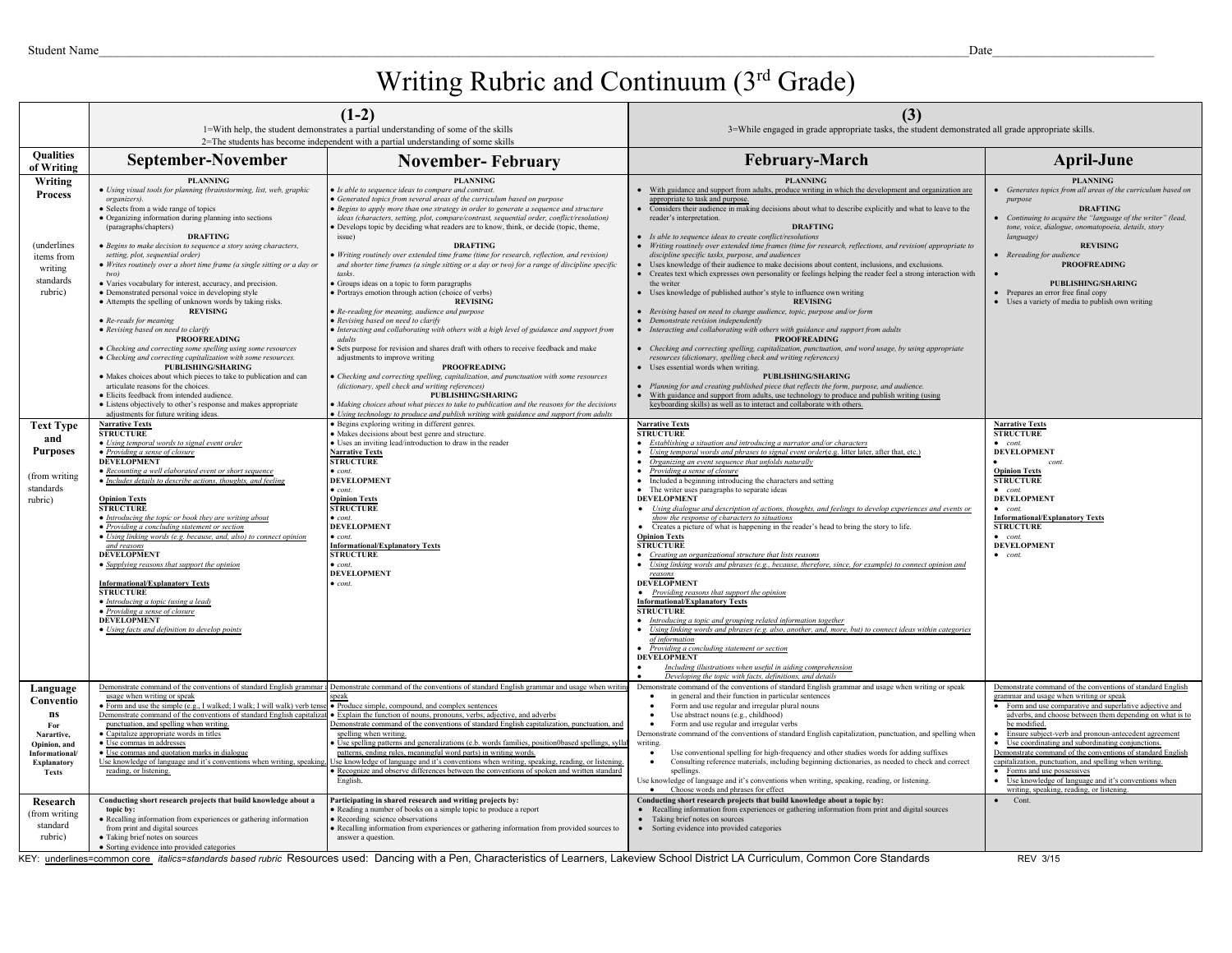#### Writing Rubric and Continuum (3rd Grade)

|                                                                                                                                                |                                                                                                                                                                                                                                                                                                                                                                                                                                                                                                                                                                                                                                                                                              | $(1-2)$                                                                                                                                                                                                                                                                                                                                                                                                                                                                                                                                                                                                                                                                                                                                                                                                                                                                                                         | (3)                                                                                                                                                                                                                                                                                                                                                                                                                                                                                                                                                                                                                                                                                                                                                                                                                                                                                                                                                                                                                |                                                                                                                                                                                                                                                                                                                                                                                                                                                                                                                                                                                                                                 |  |
|------------------------------------------------------------------------------------------------------------------------------------------------|----------------------------------------------------------------------------------------------------------------------------------------------------------------------------------------------------------------------------------------------------------------------------------------------------------------------------------------------------------------------------------------------------------------------------------------------------------------------------------------------------------------------------------------------------------------------------------------------------------------------------------------------------------------------------------------------|-----------------------------------------------------------------------------------------------------------------------------------------------------------------------------------------------------------------------------------------------------------------------------------------------------------------------------------------------------------------------------------------------------------------------------------------------------------------------------------------------------------------------------------------------------------------------------------------------------------------------------------------------------------------------------------------------------------------------------------------------------------------------------------------------------------------------------------------------------------------------------------------------------------------|--------------------------------------------------------------------------------------------------------------------------------------------------------------------------------------------------------------------------------------------------------------------------------------------------------------------------------------------------------------------------------------------------------------------------------------------------------------------------------------------------------------------------------------------------------------------------------------------------------------------------------------------------------------------------------------------------------------------------------------------------------------------------------------------------------------------------------------------------------------------------------------------------------------------------------------------------------------------------------------------------------------------|---------------------------------------------------------------------------------------------------------------------------------------------------------------------------------------------------------------------------------------------------------------------------------------------------------------------------------------------------------------------------------------------------------------------------------------------------------------------------------------------------------------------------------------------------------------------------------------------------------------------------------|--|
|                                                                                                                                                |                                                                                                                                                                                                                                                                                                                                                                                                                                                                                                                                                                                                                                                                                              | 1=With help, the student demonstrates a partial understanding of some of the skills<br>2=The students has become independent with a partial understanding of some skills                                                                                                                                                                                                                                                                                                                                                                                                                                                                                                                                                                                                                                                                                                                                        | 3=While engaged in grade appropriate tasks, the student demonstrated all grade appropriate skills.                                                                                                                                                                                                                                                                                                                                                                                                                                                                                                                                                                                                                                                                                                                                                                                                                                                                                                                 |                                                                                                                                                                                                                                                                                                                                                                                                                                                                                                                                                                                                                                 |  |
| <b>Oualities</b><br>of Writing                                                                                                                 | September-November                                                                                                                                                                                                                                                                                                                                                                                                                                                                                                                                                                                                                                                                           | <b>November-February</b>                                                                                                                                                                                                                                                                                                                                                                                                                                                                                                                                                                                                                                                                                                                                                                                                                                                                                        | <b>February-March</b>                                                                                                                                                                                                                                                                                                                                                                                                                                                                                                                                                                                                                                                                                                                                                                                                                                                                                                                                                                                              | <b>April-June</b>                                                                                                                                                                                                                                                                                                                                                                                                                                                                                                                                                                                                               |  |
| Writing<br><b>Process</b><br><i>(underlines</i>                                                                                                | <b>PLANNING</b><br>· Using visual tools for planning (brainstorming, list, web, graphic<br>organizers).<br>• Selects from a wide range of topics<br>· Organizing information during planning into sections<br>(paragraphs/chapters)<br><b>DRAFTING</b><br>• Begins to make decision to sequence a story using characters,                                                                                                                                                                                                                                                                                                                                                                    | PLANNING<br>• Is able to sequence ideas to compare and contrast.<br>• Generated topics from several areas of the curriculum based on purpose<br>• Begins to apply more than one strategy in order to generate a sequence and structure<br>ideas (characters, setting, plot, compare/contrast, sequential order, conflict/resolution)<br>Develops topic by deciding what readers are to know, think, or decide (topic, theme,<br>issue)<br><b>DRAFTING</b>                                                                                                                                                                                                                                                                                                                                                                                                                                                       | PLANNING<br>With guidance and support from adults, produce writing in which the development and organization are<br>appropriate to task and purpose.<br>• Considers their audience in making decisions about what to describe explicitly and what to leave to the<br>reader's interpretation.<br><b>DRAFTING</b><br>• Is able to sequence ideas to create conflict/resolutions<br>• Writing routinely over extended time frames (time for research, reflections, and revision(appropriate to                                                                                                                                                                                                                                                                                                                                                                                                                                                                                                                       | PLANNING<br>• Generates topics from all areas of the curriculum based on<br>purpose<br><b>DRAFTING</b><br>• Continuing to acquire the "language of the writer" (lead,<br>tone, voice, dialogue, onomatopoeia, details, story<br>language)<br><b>REVISING</b>                                                                                                                                                                                                                                                                                                                                                                    |  |
| items from                                                                                                                                     | setting, plot, sequential order)<br>• Writes routinely over a short time frame (a single sitting or a day or                                                                                                                                                                                                                                                                                                                                                                                                                                                                                                                                                                                 | • Writing routinely over extended time frame (time for research, reflection, and revision)<br>and shorter time frames (a single sitting or a day or two) for a range of discipline specific                                                                                                                                                                                                                                                                                                                                                                                                                                                                                                                                                                                                                                                                                                                     | discipline specific tasks, purpose, and audiences<br>Uses knowledge of their audience to make decisions about content, inclusions, and exclusions.                                                                                                                                                                                                                                                                                                                                                                                                                                                                                                                                                                                                                                                                                                                                                                                                                                                                 | • Rereading for audience<br><b>PROOFREADING</b>                                                                                                                                                                                                                                                                                                                                                                                                                                                                                                                                                                                 |  |
| writing<br>standards<br>rubric)                                                                                                                | · Varies vocabulary for interest, accuracy, and precision.<br>• Demonstrated personal voice in developing style<br>• Attempts the spelling of unknown words by taking risks.<br><b>REVISING</b><br>• Re-reads for meaning<br>• Revising based on need to clarify<br><b>PROOFREADING</b><br>• Checking and correcting some spelling using some resources<br>• Checking and correcting capitalization with some resources.<br>PUBLISHING/SHARING<br>• Makes choices about which pieces to take to publication and can<br>articulate reasons for the choices.<br>· Elicits feedback from intended audience.<br>• Listens objectively to other's response and makes appropriate                  | tasks<br>• Groups ideas on a topic to form paragraphs<br>· Portrays emotion through action (choice of verbs)<br><b>REVISING</b><br>Re-reading for meaning, audience and purpose<br>• Revising based on need to clarify<br>• Interacting and collaborating with others with a high level of guidance and support from<br>adults<br>Sets purpose for revision and shares draft with others to receive feedback and make<br>adjustments to improve writing<br><b>PROOFREADING</b><br>Checking and correcting spelling, capitalization, and punctuation with some resources<br>(dictionary, spell check and writing references)<br>PUBLISHING/SHARING<br>• Making choices about what pieces to take to publication and the reasons for the decisions                                                                                                                                                                | • Creates text which expresses own personality or feelings helping the reader feel a strong interaction with<br>the writer<br>• Uses knowledge of published author's style to influence own writing<br><b>REVISING</b><br>• Revising based on need to change audience, topic, purpose and/or form<br>• Demonstrate revision independently<br>• Interacting and collaborating with others with guidance and support from adults<br><b>PROOFREADING</b><br>• Checking and correcting spelling, capitalization, punctuation, and word usage, by using appropriate<br>resources (dictionary, spelling check and writing references)<br>• Uses essential words when writing.<br>PUBLISHING/SHARING<br>• Planning for and creating published piece that reflects the form, purpose, and audience.<br>With guidance and support from adults, use technology to produce and publish writing (using<br>keyboarding skills) as well as to interact and collaborate with others.                                              | PUBLISHING/SHARING<br>• Prepares an error free final copy<br>• Uses a variety of media to publish own writing                                                                                                                                                                                                                                                                                                                                                                                                                                                                                                                   |  |
|                                                                                                                                                | adjustments for future writing ideas.                                                                                                                                                                                                                                                                                                                                                                                                                                                                                                                                                                                                                                                        | • Using technology to produce and publish writing with guidance and support from adults<br>· Begins exploring writing in different genres.                                                                                                                                                                                                                                                                                                                                                                                                                                                                                                                                                                                                                                                                                                                                                                      |                                                                                                                                                                                                                                                                                                                                                                                                                                                                                                                                                                                                                                                                                                                                                                                                                                                                                                                                                                                                                    |                                                                                                                                                                                                                                                                                                                                                                                                                                                                                                                                                                                                                                 |  |
| <b>Text Type</b><br>and                                                                                                                        | <b>Narrative Texts</b><br><b>STRUCTURE</b><br>· Using temporal words to signal event order                                                                                                                                                                                                                                                                                                                                                                                                                                                                                                                                                                                                   | · Makes decisions about best genre and structure.<br>· Uses an inviting lead/introduction to draw in the reader                                                                                                                                                                                                                                                                                                                                                                                                                                                                                                                                                                                                                                                                                                                                                                                                 | <b>Narrative Texts</b><br><b>STRUCTURE</b><br>• Establishing a situation and introducing a narrator and/or characters                                                                                                                                                                                                                                                                                                                                                                                                                                                                                                                                                                                                                                                                                                                                                                                                                                                                                              | <b>Narrative Texts</b><br><b>STRUCTURE</b><br>$\bullet$ cont.                                                                                                                                                                                                                                                                                                                                                                                                                                                                                                                                                                   |  |
| <b>Purposes</b>                                                                                                                                | • Providing a sense of closure<br><b>DEVELOPMENT</b>                                                                                                                                                                                                                                                                                                                                                                                                                                                                                                                                                                                                                                         | <b>Narrative Texts</b><br><b>STRUCTURE</b>                                                                                                                                                                                                                                                                                                                                                                                                                                                                                                                                                                                                                                                                                                                                                                                                                                                                      | • Using temporal words and phrases to signal event order(e.g. litter later, after that, etc.)<br>$\bullet$ Organizing an event sequence that unfolds naturally                                                                                                                                                                                                                                                                                                                                                                                                                                                                                                                                                                                                                                                                                                                                                                                                                                                     | <b>DEVELOPMENT</b><br>cont                                                                                                                                                                                                                                                                                                                                                                                                                                                                                                                                                                                                      |  |
| (from writing                                                                                                                                  | • Recounting a well elaborated event or short sequence<br>• Includes details to describe actions, thoughts, and feeling                                                                                                                                                                                                                                                                                                                                                                                                                                                                                                                                                                      | $\bullet$ cont.<br><b>DEVELOPMENT</b>                                                                                                                                                                                                                                                                                                                                                                                                                                                                                                                                                                                                                                                                                                                                                                                                                                                                           | • Providing a sense of closure<br>• Included a beginning introducing the characters and setting                                                                                                                                                                                                                                                                                                                                                                                                                                                                                                                                                                                                                                                                                                                                                                                                                                                                                                                    | <b>Opinion Texts</b><br><b>STRUCTURE</b>                                                                                                                                                                                                                                                                                                                                                                                                                                                                                                                                                                                        |  |
| standards<br>rubric)                                                                                                                           | <b>Opinion Texts</b><br><b>STRUCTURE</b><br>• Introducing the topic or book they are writing about<br>• Providing a concluding statement or section<br>• Using linking words (e.g. because, and, also) to connect opinion<br>and reasons<br><b>DEVELOPMENT</b><br>• Supplying reasons that support the opinion<br><b>Informational/Explanatory Texts</b><br><b>STRUCTURE</b>                                                                                                                                                                                                                                                                                                                 | $\bullet$ cont<br><b>Opinion Texts</b><br><b>STRUCTURE</b><br>$\bullet$ cont<br><b>DEVELOPMENT</b><br>$\bullet$ cont<br><b>Informational/Explanatory Texts</b><br><b>STRUCTURE</b><br>$\bullet$ cont<br><b>DEVELOPMENT</b><br>$\bullet$ cont.                                                                                                                                                                                                                                                                                                                                                                                                                                                                                                                                                                                                                                                                   | • The writer uses paragraphs to separate ideas<br><b>DEVELOPMENT</b><br>• Using dialogue and description of actions, thoughts, and feelings to develop experiences and events or<br>show the response of characters to situations<br>• Creates a picture of what is happening in the reader's head to bring the story to life.<br><b>Opinion Texts</b><br><b>STRUCTURE</b><br>• Creating an organizational structure that lists reasons<br>Using linking words and phrases (e.g., because, therefore, since, for example) to connect opinion and<br>reasons<br><b>DEVELOPMENT</b><br>• Providing reasons that support the opinion                                                                                                                                                                                                                                                                                                                                                                                  | $\bullet$ cont<br><b>DEVELOPMENT</b><br>$\bullet$ cont.<br><b>Informational/Explanatory Texts</b><br><b>STRUCTURE</b><br>$\bullet$ cont<br><b>DEVELOPMENT</b><br>$\bullet$ cont.                                                                                                                                                                                                                                                                                                                                                                                                                                                |  |
|                                                                                                                                                | • Introducing a topic (using a lead)<br>• Providing a sense of closure<br><b>DEVELOPMENT</b><br>• Using facts and definition to develop points                                                                                                                                                                                                                                                                                                                                                                                                                                                                                                                                               |                                                                                                                                                                                                                                                                                                                                                                                                                                                                                                                                                                                                                                                                                                                                                                                                                                                                                                                 | <b>Informational/Explanatory Texts</b><br><b>STRUCTURE</b><br>• Introducing a topic and grouping related information together<br>Using linking words and phrases (e.g. also, another, and, more, but) to connect ideas within categories<br>of information<br>Providing a concluding statement or section<br><b>DEVELOPMENT</b><br>Including illustrations when useful in aiding comprehension<br>Developing the topic with facts, definitions, and details                                                                                                                                                                                                                                                                                                                                                                                                                                                                                                                                                        |                                                                                                                                                                                                                                                                                                                                                                                                                                                                                                                                                                                                                                 |  |
| Language<br>Conventio<br>ns<br>For<br>Narartive,<br>Opinion, and<br>Informational/<br>Explanatory<br><b>Texts</b><br>Research<br>(from writing | Demonstrate command of the conventions of standard English grammar<br>usage when writing or speak<br>$\bullet$ Form and use the simple (e.g., I walked; I walk; I will walk) verb tens<br>Demonstrate command of the conventions of standard English capitalizat<br>punctuation, and spelling when writing.<br>• Capitalize appropriate words in titles<br>· Use commas in addresses<br>· Use commas and quotation marks in dialogue<br>Use knowledge of language and it's conventions when writing, speaking<br>reading, or listening.<br>Conducting short research projects that build knowledge about a<br>topic by:<br>• Recalling information from experiences or gathering information | Demonstrate command of the conventions of standard English grammar and usage when writin<br>speak<br>· Produce simple, compound, and complex sentences<br>• Explain the function of nouns, pronouns, verbs, adjective, and adverbs<br>Demonstrate command of the conventions of standard English capitalization, punctuation, and<br>spelling when writing.<br>Use spelling patterns and generalizations (e.b. words families, position0based spellings, sylla<br>patterns, ending rules, meaningful word parts) in writing words.<br>Ise knowledge of language and it's conventions when writing, speaking, reading, or listening<br>Recognize and observe differences between the conventions of spoken and written standard<br>English<br>Participating in shared research and writing projects by:<br>• Reading a number of books on a simple topic to produce a report<br>· Recording science observations | Demonstrate command of the conventions of standard English grammar and usage when writing or speak<br>in general and their function in particular sentences<br>Form and use regular and irregular plural nouns<br>Use abstract nouns (e.g., childhood)<br>$\bullet$<br>Form and use regular and irregular verbs<br>Demonstrate command of the conventions of standard English capitalization, punctuation, and spelling when<br>writing.<br>Use conventional spelling for high-frequency and other studies words for adding suffixes<br>Consulting reference materials, including beginning dictionaries, as needed to check and correct<br>spellings.<br>Use knowledge of language and it's conventions when writing, speaking, reading, or listening.<br>Choose words and phrases for effect<br>Conducting short research projects that build knowledge about a topic by:<br>• Recalling information from experiences or gathering information from print and digital sources<br>• Taking brief notes on sources | Demonstrate command of the conventions of standard English<br>grammar and usage when writing or speak<br>• Form and use comparative and superlative adjective and<br>adverbs, and choose between them depending on what is to<br>be modified.<br>Ensure subject-verb and pronoun-antecedent agreement<br>Use coordinating and subordinating conjunctions.<br>Demonstrate command of the conventions of standard English<br>capitalization, punctuation, and spelling when writing.<br>• Forms and use possessives<br>• Use knowledge of language and it's conventions when<br>writing, speaking, reading, or listening<br>Cont. |  |
| standard<br>rubric)                                                                                                                            | from print and digital sources<br>• Taking brief notes on sources<br>• Sorting evidence into provided categories                                                                                                                                                                                                                                                                                                                                                                                                                                                                                                                                                                             | · Recalling information from experiences or gathering information from provided sources to<br>answer a question.                                                                                                                                                                                                                                                                                                                                                                                                                                                                                                                                                                                                                                                                                                                                                                                                | • Sorting evidence into provided categories                                                                                                                                                                                                                                                                                                                                                                                                                                                                                                                                                                                                                                                                                                                                                                                                                                                                                                                                                                        |                                                                                                                                                                                                                                                                                                                                                                                                                                                                                                                                                                                                                                 |  |

KEY: underlines=common core italics=standards based rubric Resources used: Dancing with a Pen, Characteristics of Learners, Lakeview School District LA Curriculum, Common Core Standards REV 3/15